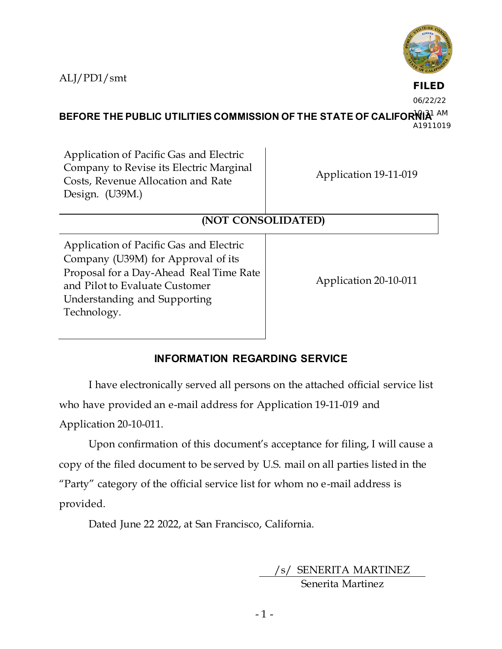ALJ/PD1/smt



**FILED**

06/22/22

BEFORE THE PUBLIC UTILITIES COMMISSION OF THE STATE OF CALIFOR<sup>I</sup>NIA<sup>1 AM</sup> A1911019

Application of Pacific Gas and Electric Company to Revise its Electric Marginal Costs, Revenue Allocation and Rate Design. (U39M.)

Application 19-11-019

# **(NOT CONSOLIDATED)**

Application of Pacific Gas and Electric Company (U39M) for Approval of its Proposal for a Day-Ahead Real Time Rate and Pilot to Evaluate Customer Understanding and Supporting Technology.

Application 20-10-011

# **INFORMATION REGARDING SERVICE**

I have electronically served all persons on the attached official service list who have provided an e-mail address for Application 19-11-019 and Application 20-10-011.

Upon confirmation of this document's acceptance for filing, I will cause a copy of the filed document to be served by U.S. mail on all parties listed in the "Party" category of the official service list for whom no e-mail address is provided.

Dated June 22 2022, at San Francisco, California.

/s/ SENERITA MARTINEZ

Senerita Martinez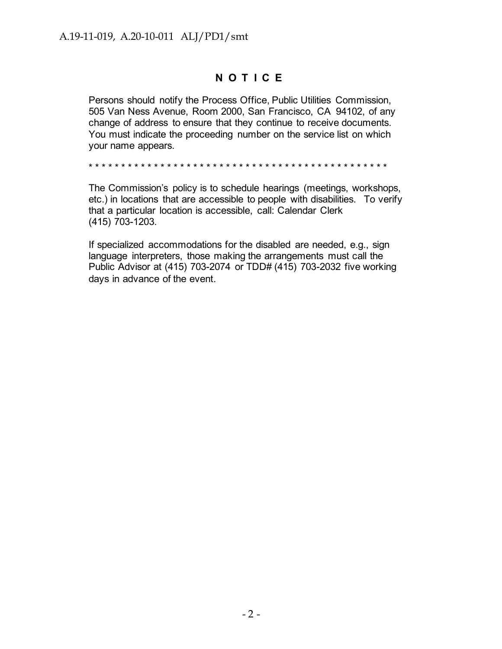# **N O T I C E**

Persons should notify the Process Office, Public Utilities Commission, 505 Van Ness Avenue, Room 2000, San Francisco, CA 94102, of any change of address to ensure that they continue to receive documents. You must indicate the proceeding number on the service list on which your name appears.

\* \* \* \* \* \* \* \* \* \* \* \* \* \* \* \* \* \* \* \* \* \* \* \* \* \* \* \* \* \* \* \* \* \* \* \* \* \* \* \* \* \* \* \* \* \*

The Commission's policy is to schedule hearings (meetings, workshops, etc.) in locations that are accessible to people with disabilities. To verify that a particular location is accessible, call: Calendar Clerk (415) 703-1203.

If specialized accommodations for the disabled are needed, e.g., sign language interpreters, those making the arrangements must call the Public Advisor at (415) 703-2074 or TDD# (415) 703-2032 five working days in advance of the event.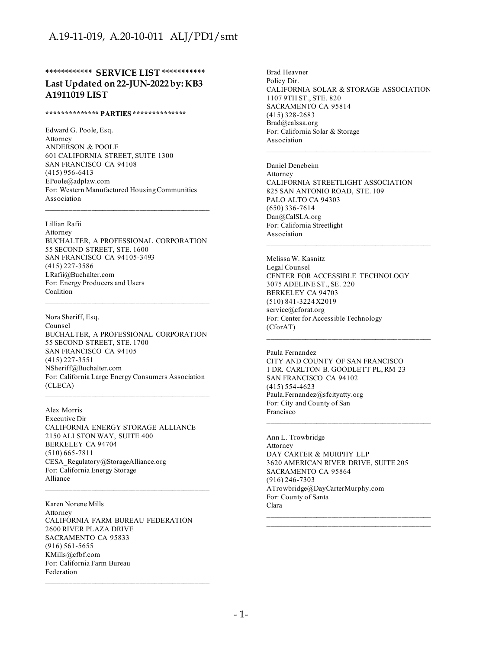#### **\*\*\*\*\*\*\*\*\*\*\*\* SERVICE LIST \*\*\*\*\*\*\*\*\*\*\* Last Updated on 22-JUN-2022 by: KB3 A1911019 LIST**

#### **\*\*\*\*\*\*\*\*\*\*\*\*\*\* PARTIES \*\*\*\*\*\*\*\*\*\*\*\*\*\***

Edward G. Poole, Esq. Attorney ANDERSON & POOLE 601 CALIFORNIA STREET, SUITE 1300 SAN FRANCISCO CA 94108 (415) 956-6413 EPoole@adplaw.com For: Western Manufactured Housing Communities Association

Lillian Rafii Attorney BUCHALTER, A PROFESSIONAL CORPORATION 55 SECOND STREET, STE. 1600 SAN FRANCISCO CA 94105-3493 (415) 227-3586 LRafii@Buchalter.com For: Energy Producers and Users **Coalition** 

\_\_\_\_\_\_\_\_\_\_\_\_\_\_\_\_\_\_\_\_\_\_\_\_\_\_\_\_\_\_\_\_\_\_\_\_\_\_\_\_\_\_\_\_

Nora Sheriff, Esq. Counsel BUCHALTER, A PROFESSIONAL CORPORATION 55 SECOND STREET, STE. 1700 SAN FRANCISCO CA 94105 (415) 227-3551 NSheriff@Buchalter.com For: California Large Energy Consumers Association (CLECA)

Alex Morris Executive Dir CALIFORNIA ENERGY STORAGE ALLIANCE 2150 ALLSTON WAY, SUITE 400 BERKELEY CA 94704 (510) 665-7811 CESA\_Regulatory@StorageAlliance.org For: California Energy Storage Alliance

Karen Norene Mills Attorney CALIFORNIA FARM BUREAU FEDERATION 2600 RIVER PLAZA DRIVE SACRAMENTO CA 95833 (916) 561-5655 KMills@cfbf.com For: California Farm Bureau Federation

Brad Heavner Policy Dir. CALIFORNIA SOLAR & STORAGE ASSOCIATION 1107 9TH ST., STE. 820 SACRAMENTO CA 95814 (415) 328-2683 Brad@calssa.org For: California Solar & Storage Association

Daniel Denebeim Attorney CALIFORNIA STREETLIGHT ASSOCIATION 825 SAN ANTONIO ROAD, STE. 109 PALO ALTO CA 94303 (650) 336-7614 Dan@CalSLA.org For: California Streetlight Association

 $\mathcal{L}_\text{max}$  and the contract of the contract of the contract of the contract of the contract of the contract of the contract of the contract of the contract of the contract of the contract of the contract of the contrac

Melissa W. Kasnitz Legal Counsel CENTER FOR ACCESSIBLE TECHNOLOGY 3075 ADELINE ST., SE. 220 BERKELEY CA 94703 (510) 841-3224 X2019 service@cforat.org For: Center for Accessible Technology (CforAT)

Paula Fernandez CITY AND COUNTY OF SAN FRANCISCO 1 DR. CARLTON B. GOODLETT PL, RM 23 SAN FRANCISCO CA 94102 (415) 554-4623 Paula.Fernandez@sfcityatty.org For: City and County of San Francisco

Ann L. Trowbridge Attorney DAY CARTER & MURPHY LLP 3620 AMERICAN RIVER DRIVE, SUITE 205 SACRAMENTO CA 95864 (916) 246-7303 ATrowbridge@DayCarterMurphy.com For: County of Santa Clara

 $\mathcal{L}_\text{max}$  and the contract of the contract of the contract of the contract of the contract of the contract of the contract of the contract of the contract of the contract of the contract of the contract of the contrac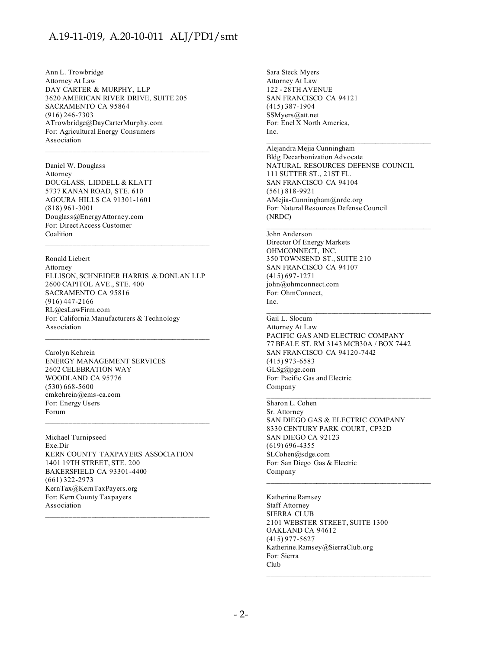Ann L. Trowbridge Attorney At Law DAY CARTER & MURPHY, LLP 3620 AMERICAN RIVER DRIVE, SUITE 205 SACRAMENTO CA 95864 (916) 246-7303 ATrowbridge@DayCarterMurphy.com For: Agricultural Energy Consumers Association

Daniel W. Douglass Attorney DOUGLASS, LIDDELL & KLATT 5737 KANAN ROAD, STE. 610 AGOURA HILLS CA 91301-1601 (818) 961-3001 Douglass@EnergyAttorney.com For: Direct Access Customer Coalition

Ronald Liebert

Attorney ELLISON, SCHNEIDER HARRIS & DONLAN LLP 2600 CAPITOL AVE., STE. 400 SACRAMENTO CA 95816 (916) 447-2166 RL@esLawFirm.com For: California Manufacturers & Technology Association

 $\mathcal{L}_\text{max}$  and the contract of the contract of the contract of the contract of the contract of the contract of the contract of the contract of the contract of the contract of the contract of the contract of the contrac

Carolyn Kehrein ENERGY MANAGEMENT SERVICES 2602 CELEBRATION WAY WOODLAND CA 95776 (530) 668-5600 cmkehrein@ems-ca.com For: Energy Users Forum

Michael Turnipseed Exe.Dir KERN COUNTY TAXPAYERS ASSOCIATION 1401 19TH STREET, STE. 200 BAKERSFIELD CA 93301-4400 (661) 322-2973 KernTax@KernTaxPayers.org For: Kern County Taxpayers Association

 $\mathcal{L}_\text{max}$  and the contract of the contract of the contract of the contract of the contract of the contract of the contract of the contract of the contract of the contract of the contract of the contract of the contrac

Sara Steck Myers Attorney At Law 122 - 28TH AVENUE SAN FRANCISCO CA 94121 (415) 387-1904 SSMyers@att.net For: Enel X North America, Inc.

Alejandra Mejia Cunningham Bldg Decarbonization Advocate NATURAL RESOURCES DEFENSE COUNCIL 111 SUTTER ST., 21ST FL. SAN FRANCISCO CA 94104 (561) 818-9921 AMejia-Cunningham@nrdc.org For: Natural Resources Defense Council (NRDC)

 $\mathcal{L}_\text{max}$  and the contract of the contract of the contract of the contract of the contract of the contract of the contract of the contract of the contract of the contract of the contract of the contract of the contrac

\_\_\_\_\_\_\_\_\_\_\_\_\_\_\_\_\_\_\_\_\_\_\_\_\_\_\_\_\_\_\_\_\_\_\_\_\_\_\_\_\_\_\_\_

#### John Anderson

Director Of Energy Markets OHMCONNECT, INC. 350 TOWNSEND ST., SUITE 210 SAN FRANCISCO CA 94107 (415) 697-1271 john@ohmconnect.com For: OhmConnect, Inc.

Gail L. Slocum Attorney At Law PACIFIC GAS AND ELECTRIC COMPANY 77 BEALE ST. RM 3143 MCB30A / BOX 7442 SAN FRANCISCO CA 94120-7442 (415) 973-6583 GLSg@pge.com For: Pacific Gas and Electric Company

#### Sharon L. Cohen

Sr. Attorney SAN DIEGO GAS & ELECTRIC COMPANY 8330 CENTURY PARK COURT, CP32D SAN DIEGO CA 92123 (619) 696-4355 SLCohen@sdge.com For: San Diego Gas & Electric Company

Katherine Ramsey Staff Attorney SIERRA CLUB 2101 WEBSTER STREET, SUITE 1300 OAKLAND CA 94612 (415) 977-5627 Katherine.Ramsey@SierraClub.org For: Sierra Club

 $\mathcal{L}_\text{max}$  and the contract of the contract of the contract of the contract of the contract of the contract of the contract of the contract of the contract of the contract of the contract of the contract of the contrac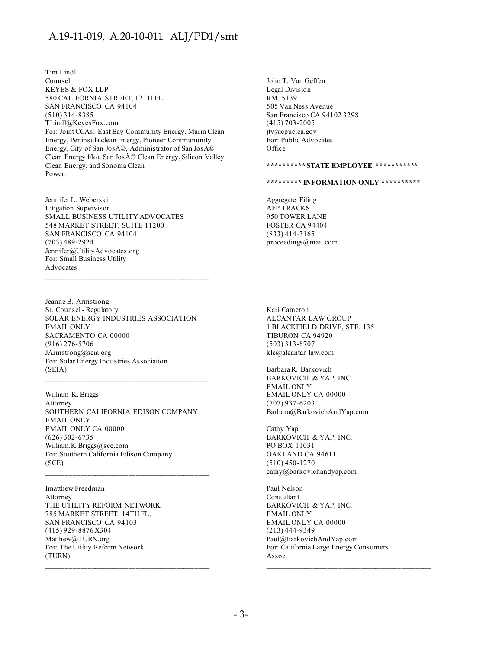Tim Lindl Counsel KEYES & FOX LLP 580 CALIFORNIA STREET, 12TH FL. SAN FRANCISCO CA 94104 (510) 314-8385 TLindl@KeyesFox.com For: Joint CCAs: East Bay Community Energy, Marin Clean Energy, Peninsula clean Energy, Pioneer Commununity Energy, City of San José, Administrator of San José Clean Energy f/k/a San José Clean Energy, Silicon Valley Clean Energy, and Sonoma Clean Power.

Jennifer L. Weberski Litigation Supervisor SMALL BUSINESS UTILITY ADVOCATES 548 MARKET STREET, SUITE 11200 SAN FRANCISCO CA 94104 (703) 489-2924 Jennifer@UtilityAdvocates.org For: Small Business Utility Advocates

Jeanne B. Armstrong Sr. Counsel - Regulatory SOLAR ENERGY INDUSTRIES ASSOCIATION EMAIL ONLY SACRAMENTO CA 00000 (916) 276-5706 JArmstrong@seia.org For: Solar Energy Industries Association (SEIA)

 $\mathcal{L}_\text{max}$  and the contract of the contract of the contract of the contract of the contract of the contract of the contract of the contract of the contract of the contract of the contract of the contract of the contrac

William K. Briggs Attorney SOUTHERN CALIFORNIA EDISON COMPANY EMAIL ONLY EMAIL ONLY CA 00000 (626) 302-6735 William.K.Briggs@sce.com For: Southern California Edison Company (SCE)

Imatthew Freedman Attorney THE UTILITY REFORM NETWORK 785 MARKET STREET, 14TH FL. SAN FRANCISCO CA 94103 (415) 929-8876 X304 Matthew@TURN.org For: The Utility Reform Network (TURN)

John T. Van Geffen Legal Division RM. 5139 505 Van Ness Avenue San Francisco CA 94102 3298 (415) 703-2005 jtv@cpuc.ca.gov For: Public Advocates **Office** 

**\*\*\*\*\*\*\*\*\*\* STATE EMPLOYEE \*\*\*\*\*\*\*\*\*\*\*** 

**\*\*\*\*\*\*\*\*\* INFORMATION ONLY \*\*\*\*\*\*\*\*\*\*** 

Aggregate Filing AFP TRACKS 950 TOWER LANE FOSTER CA 94404 (833) 414-3165 proceedings@mail.com

Kari Cameron ALCANTAR LAW GROUP 1 BLACKFIELD DRIVE, STE. 135 TIBURON CA 94920 (503) 313-8707 klc@alcantar-law.com

Barbara R. Barkovich BARKOVICH & YAP, INC. EMAIL ONLY EMAIL ONLY CA 00000 (707) 937-6203 Barbara@BarkovichAndYap.com

Cathy Yap BARKOVICH & YAP, INC. PO BOX 11031 OAKLAND CA 94611 (510) 450-1270 cathy@barkovichandyap.com

Paul Nelson Consultant BARKOVICH & YAP, INC. EMAIL ONLY EMAIL ONLY CA 00000 (213) 444-9349 Paul@BarkovichAndYap.com For: California Large Energy Consumers Assoc.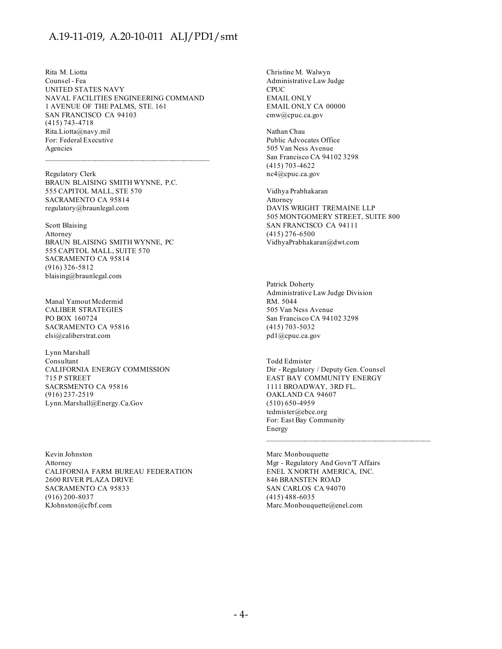Rita M. Liotta Counsel - Fea UNITED STATES NAVY NAVAL FACILITIES ENGINEERING COMMAND 1 AVENUE OF THE PALMS, STE. 161 SAN FRANCISCO CA 94103 (415) 743-4718 Rita.Liotta@navy.mil For: Federal Executive Agencies

 $\mathcal{L}_\text{max}$  and the contract of the contract of the contract of the contract of the contract of the contract of the contract of the contract of the contract of the contract of the contract of the contract of the contrac

Regulatory Clerk BRAUN BLAISING SMITH WYNNE, P.C. 555 CAPITOL MALL, STE 570 SACRAMENTO CA 95814 regulatory@braunlegal.com

Scott Blaising Attorney BRAUN BLAISING SMITH WYNNE, PC 555 CAPITOL MALL, SUITE 570 SACRAMENTO CA 95814 (916) 326-5812 blaising@braunlegal.com

Manal Yamout Mcdermid CALIBER STRATEGIES PO BOX 160724 SACRAMENTO CA 95816 elsi@caliberstrat.com

Lynn Marshall Consultant CALIFORNIA ENERGY COMMISSION 715 P STREET SACRSMENTO CA 95816 (916) 237-2519 Lynn.Marshall@Energy.Ca.Gov

Kevin Johnston Attorney CALIFORNIA FARM BUREAU FEDERATION 2600 RIVER PLAZA DRIVE SACRAMENTO CA 95833 (916) 200-8037 KJohnston@cfbf.com

Christine M. Walwyn Administrative Law Judge CPUC EMAIL ONLY EMAIL ONLY CA 00000 cmw@cpuc.ca.gov

Nathan Chau Public Advocates Office 505 Van Ness Avenue San Francisco CA 94102 3298 (415) 703-4622 nc4@cpuc.ca.gov

Vidhya Prabhakaran Attorney DAVIS WRIGHT TREMAINE LLP 505 MONTGOMERY STREET, SUITE 800 SAN FRANCISCO CA 94111 (415) 276-6500 VidhyaPrabhakaran@dwt.com

Patrick Doherty Administrative Law Judge Division RM. 5044 505 Van Ness Avenue San Francisco CA 94102 3298 (415) 703-5032 pd1@cpuc.ca.gov

Todd Edmister Dir - Regulatory / Deputy Gen. Counsel EAST BAY COMMUNITY ENERGY 1111 BROADWAY, 3RD FL. OAKLAND CA 94607 (510) 650-4959 tedmister@ebce.org For: East Bay Community Energy

 $\mathcal{L}_\text{max}$  and the contract of the contract of the contract of the contract of the contract of the contract of the contract of the contract of the contract of the contract of the contract of the contract of the contrac

Marc Monbouquette Mgr - Regulatory And Govn'T Affairs ENEL X NORTH AMERICA, INC. 846 BRANSTEN ROAD SAN CARLOS CA 94070 (415) 488-6035 Marc.Monbouquette@enel.com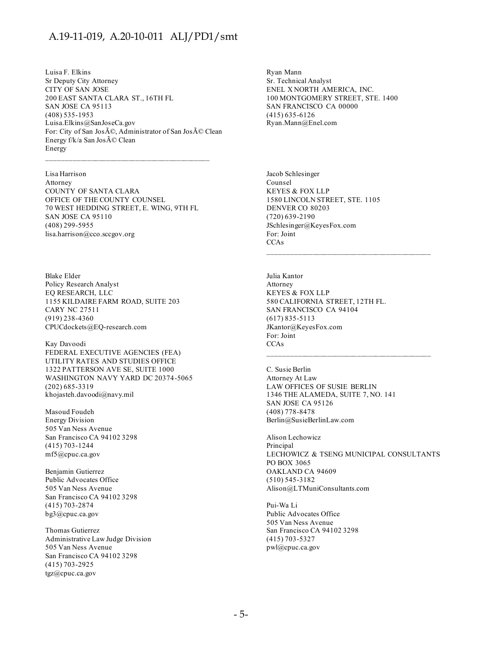Luisa F. Elkins Sr Deputy City Attorney CITY OF SAN JOSE 200 EAST SANTA CLARA ST., 16TH FL SAN JOSE CA 95113 (408) 535-1953 Luisa.Elkins@SanJoseCa.gov For: City of San José, Administrator of San José Clean Energy f/k/a San José Clean Energy

 $\mathcal{L}_\text{max}$  and the contract of the contract of the contract of the contract of the contract of the contract of the contract of the contract of the contract of the contract of the contract of the contract of the contrac

Lisa Harrison Attorney COUNTY OF SANTA CLARA OFFICE OF THE COUNTY COUNSEL 70 WEST HEDDING STREET, E. WING, 9TH FL SAN JOSE CA 95110 (408) 299-5955 lisa.harrison@cco.sccgov.org

Blake Elder Policy Research Analyst EQ RESEARCH, LLC 1155 KILDAIRE FARM ROAD, SUITE 203 CARY NC 27511 (919) 238-4360 CPUCdockets@EQ-research.com

Kay Davoodi FEDERAL EXECUTIVE AGENCIES (FEA) UTILITY RATES AND STUDIES OFFICE 1322 PATTERSON AVE SE, SUITE 1000 WASHINGTON NAVY YARD DC 20374-5065 (202) 685-3319 khojasteh.davoodi@navy.mil

Masoud Foudeh Energy Division 505 Van Ness Avenue San Francisco CA 94102 3298 (415) 703-1244 mf5@cpuc.ca.gov

Benjamin Gutierrez Public Advocates Office 505 Van Ness Avenue San Francisco CA 94102 3298 (415) 703-2874 bg3@cpuc.ca.gov

Thomas Gutierrez Administrative Law Judge Division 505 Van Ness Avenue San Francisco CA 94102 3298 (415) 703-2925 tgz@cpuc.ca.gov

Ryan Mann Sr. Technical Analyst ENEL X NORTH AMERICA, INC. 100 MONTGOMERY STREET, STE. 1400 SAN FRANCISCO CA 00000 (415) 635-6126 Ryan.Mann@Enel.com

Jacob Schlesinger Counsel KEYES & FOX LLP 1580 LINCOLN STREET, STE. 1105 DENVER CO 80203 (720) 639-2190 JSchlesinger@KeyesFox.com For: Joint **CCAs** 

Julia Kantor Attorney KEYES & FOX LLP 580 CALIFORNIA STREET, 12TH FL. SAN FRANCISCO CA 94104 (617) 835-5113 JKantor@KeyesFox.com For: Joint **CCAs** 

C. Susie Berlin Attorney At Law LAW OFFICES OF SUSIE BERLIN 1346 THE ALAMEDA, SUITE 7, NO. 141 SAN JOSE CA 95126 (408) 778-8478 Berlin@SusieBerlinLaw.com

Alison Lechowicz Principal LECHOWICZ & TSENG MUNICIPAL CONSULTANTS PO BOX 3065 OAKLAND CA 94609 (510) 545-3182 Alison@LTMuniConsultants.com

Pui-Wa Li Public Advocates Office 505 Van Ness Avenue San Francisco CA 94102 3298 (415) 703-5327 pwl@cpuc.ca.gov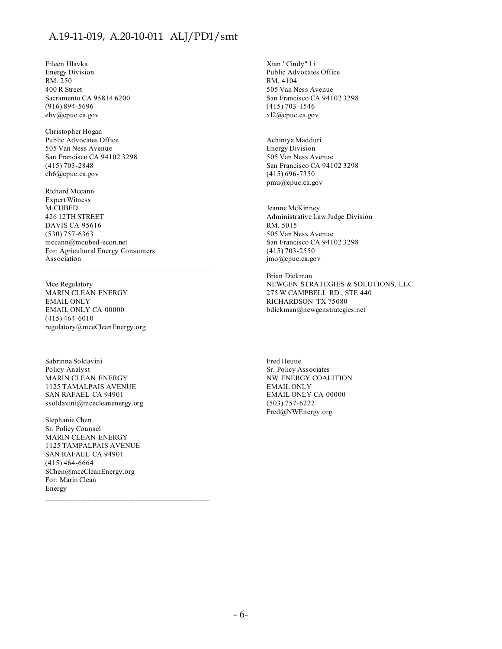Eileen Hlavka Energy Division RM. 250 400 R Street Sacramento CA 95814 6200 (916) 894-5696 ehv@cpuc.ca.gov

Christopher Hogan Public Advocates Office 505 Van Ness Avenue San Francisco CA 94102 3298 (415) 703-2848 ch6@cpuc.ca.gov

Richard Mccann Expert Witness M.CUBED 426 12TH STREET DAVIS CA 95616 (530) 757-6363 mccann@mcubed-econ.net For: Agricultural Energy Consumers Association

Mce Regulatory MARIN CLEAN ENERGY EMAIL ONLY EMAIL ONLY CA 00000 (415) 464-6010 regulatory@mceCleanEnergy.org

Sabrinna Soldavini Policy Analyst MARIN CLEAN ENERGY 1125 TAMALPAIS AVENUE SAN RAFAEL CA 94901 ssoldavini@mcecleanenergy.org

Stephanie Chen Sr. Policy Counsel MARIN CLEAN ENERGY 1125 TAMPALPAIS AVENUE SAN RAFAEL CA 94901 (415) 464-6664 SChen@mceCleanEnergy.org For: Marin Clean Energy

Xian "Cindy" Li Public Advocates Office RM. 4104 505 Van Ness Avenue San Francisco CA 94102 3298 (415) 703-1546 xl2@cpuc.ca.gov

Achintya Madduri Energy Division 505 Van Ness Avenue San Francisco CA 94102 3298 (415) 696-7350 pmu@cpuc.ca.gov

Jeanne McKinney Administrative Law Judge Division RM. 5015 505 Van Ness Avenue San Francisco CA 94102 3298 (415) 703-2550 jmo@cpuc.ca.gov

Brian Dickman NEWGEN STRATEGIES & SOLUTIONS, LLC 275 W CAMPBELL RD., STE 440 RICHARDSON TX 75080 bdickman@newgenstrategies.net

Fred Heutte Sr. Policy Associates NW ENERGY COALITION EMAIL ONLY EMAIL ONLY CA 00000 (503) 757-6222 Fred@NWEnergy.org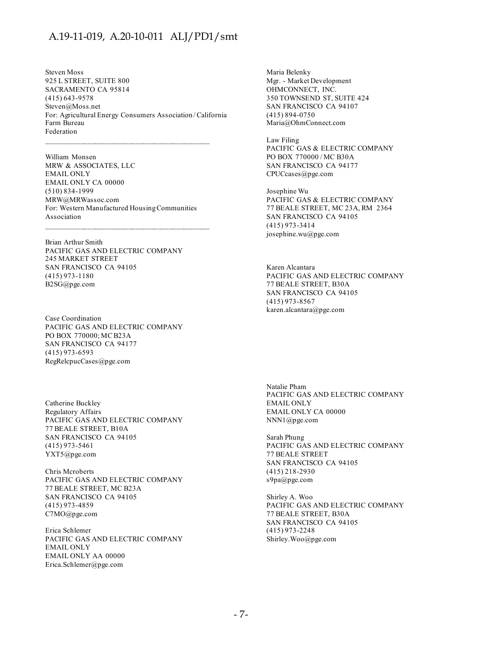Steven Moss 925 L STREET, SUITE 800 SACRAMENTO CA 95814 (415) 643-9578 Steven@Moss.net For: Agricultural Energy Consumers Association / California Farm Bureau Federation

William Monsen MRW & ASSOCIATES, LLC EMAIL ONLY EMAIL ONLY CA 00000 (510) 834-1999 MRW@MRWassoc.com For: Western Manufactured Housing Communities Association  $\mathcal{L}_\text{max}$  and the contract of the contract of the contract of the contract of the contract of the contract of the contract of the contract of the contract of the contract of the contract of the contract of the contrac

Brian Arthur Smith PACIFIC GAS AND ELECTRIC COMPANY 245 MARKET STREET SAN FRANCISCO CA 94105 (415) 973-1180 B2SG@pge.com

Case Coordination PACIFIC GAS AND ELECTRIC COMPANY PO BOX 770000; MC B23A SAN FRANCISCO CA 94177 (415) 973-6593 RegRelcpucCases@pge.com

Catherine Buckley Regulatory Affairs PACIFIC GAS AND ELECTRIC COMPANY 77 BEALE STREET, B10A SAN FRANCISCO CA 94105 (415) 973-5461 YXT5@pge.com

Chris Mcroberts PACIFIC GAS AND ELECTRIC COMPANY 77 BEALE STREET, MC B23A SAN FRANCISCO CA 94105 (415) 973-4859 C7MO@pge.com

Erica Schlemer PACIFIC GAS AND ELECTRIC COMPANY EMAIL ONLY EMAIL ONLY AA 00000 Erica.Schlemer@pge.com

Maria Belenky Mgr. - Market Development OHMCONNECT, INC. 350 TOWNSEND ST, SUITE 424 SAN FRANCISCO CA 94107 (415) 894-0750 Maria@OhmConnect.com

Law Filing PACIFIC GAS & ELECTRIC COMPANY PO BOX 770000 / MC B30A SAN FRANCISCO CA 94177 CPUCcases@pge.com

Josephine Wu PACIFIC GAS & ELECTRIC COMPANY 77 BEALE STREET, MC 23A, RM 2364 SAN FRANCISCO CA 94105 (415) 973-3414 josephine.wu@pge.com

Karen Alcantara PACIFIC GAS AND ELECTRIC COMPANY 77 BEALE STREET, B30A SAN FRANCISCO CA 94105 (415) 973-8567 karen.alcantara@pge.com

Natalie Pham PACIFIC GAS AND ELECTRIC COMPANY EMAIL ONLY EMAIL ONLY CA 00000 NNN1@pge.com

Sarah Phung PACIFIC GAS AND ELECTRIC COMPANY 77 BEALE STREET SAN FRANCISCO CA 94105 (415) 218-2930 s9pa@pge.com

Shirley A. Woo PACIFIC GAS AND ELECTRIC COMPANY 77 BEALE STREET, B30A SAN FRANCISCO CA 94105 (415) 973-2248 Shirley.Woo@pge.com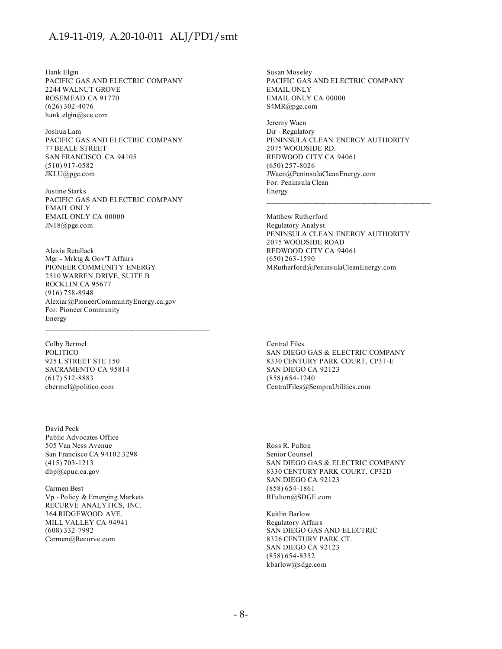Hank Elgin PACIFIC GAS AND ELECTRIC COMPANY 2244 WALNUT GROVE ROSEMEAD CA 91770 (626) 302-4076 hank.elgin@sce.com

Joshua Lam PACIFIC GAS AND ELECTRIC COMPANY 77 BEALE STREET SAN FRANCISCO CA 94105 (510) 917-0582 JKLU@pge.com

Justine Starks PACIFIC GAS AND ELECTRIC COMPANY EMAIL ONLY EMAIL ONLY CA 00000 JN18@pge.com

Alexia Retallack Mgr - Mrktg & Gov'T Affairs PIONEER COMMUNITY ENERGY 2510 WARREN DRIVE, SUITE B ROCKLIN CA 95677 (916) 758-8948 Alexiar@PioneerCommunityEnergy.ca.gov For: Pioneer Community Energy

Colby Bermel POLITICO 925 L STREET STE 150 SACRAMENTO CA 95814 (617) 512-8883 cbermel@politico.com

David Peck Public Advocates Office 505 Van Ness Avenue San Francisco CA 94102 3298 (415) 703-1213 dbp@cpuc.ca.gov

Carmen Best Vp - Policy & Emerging Markets RECURVE ANALYTICS, INC. 364 RIDGEWOOD AVE. MILL VALLEY CA 94941 (608) 332-7992 Carmen@Recurve.com

Susan Moseley PACIFIC GAS AND ELECTRIC COMPANY EMAIL ONLY EMAIL ONLY CA 00000 S4MR@pge.com

Jeremy Waen Dir - Regulatory PENINSULA CLEAN ENERGY AUTHORITY 2075 WOODSIDE RD. REDWOOD CITY CA 94061 (650) 257-8026 JWaen@PeninsulaCleanEnergy.com For: Peninsula Clean Energy

Matthew Rutherford Regulatory Analyst PENINSULA CLEAN ENERGY AUTHORITY 2075 WOODSIDE ROAD REDWOOD CITY CA 94061 (650) 263-1590 MRutherford@PeninsulaCleanEnergy.com

Central Files SAN DIEGO GAS & ELECTRIC COMPANY 8330 CENTURY PARK COURT, CP31-E SAN DIEGO CA 92123 (858) 654-1240 CentralFiles@SempraUtilities.com

Ross R. Fulton Senior Counsel SAN DIEGO GAS & ELECTRIC COMPANY 8330 CENTURY PARK COURT, CP32D SAN DIEGO CA 92123 (858) 654-1861 RFulton@SDGE.com

Kaitlin Barlow Regulatory Affairs SAN DIEGO GAS AND ELECTRIC 8326 CENTURY PARK CT. SAN DIEGO CA 92123 (858) 654-8352 kbarlow@sdge.com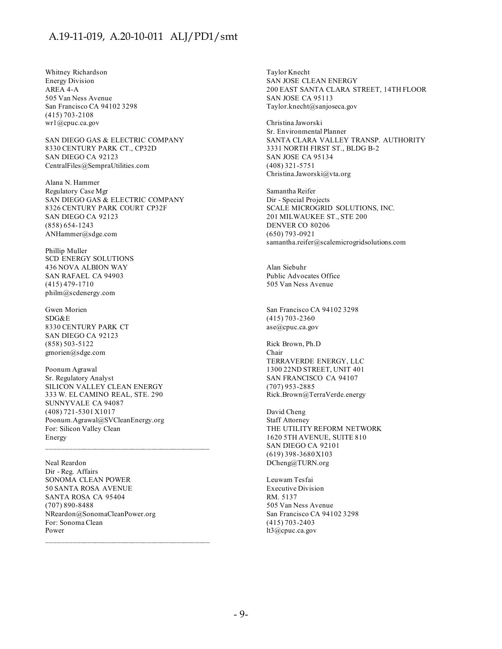Whitney Richardson Energy Division AREA 4-A 505 Van Ness Avenue San Francisco CA 94102 3298 (415) 703-2108 wr1@cpuc.ca.gov

SAN DIEGO GAS & ELECTRIC COMPANY 8330 CENTURY PARK CT., CP32D SAN DIEGO CA 92123 CentralFiles@SempraUtilities.com

Alana N. Hammer Regulatory Case Mgr SAN DIEGO GAS & ELECTRIC COMPANY 8326 CENTURY PARK COURT CP32F SAN DIEGO CA 92123 (858) 654-1243 ANHammer@sdge.com

Phillip Muller SCD ENERGY SOLUTIONS 436 NOVA ALBION WAY SAN RAFAEL CA 94903 (415) 479-1710 philm@scdenergy.com

Gwen Morien SDG&E 8330 CENTURY PARK CT SAN DIEGO CA 92123 (858) 503-5122 gmorien@sdge.com

Poonum Agrawal Sr. Regulatory Analyst SILICON VALLEY CLEAN ENERGY 333 W. EL CAMINO REAL, STE. 290 SUNNYVALE CA 94087 (408) 721-5301 X1017 Poonum.Agrawal@SVCleanEnergy.org For: Silicon Valley Clean Energy

 $\mathcal{L}_\text{max}$  and the contract of the contract of the contract of the contract of the contract of the contract of the contract of the contract of the contract of the contract of the contract of the contract of the contrac

Neal Reardon Dir - Reg. Affairs SONOMA CLEAN POWER 50 SANTA ROSA AVENUE SANTA ROSA CA 95404 (707) 890-8488 NReardon@SonomaCleanPower.org For: Sonoma Clean Power

Taylor Knecht SAN JOSE CLEAN ENERGY 200 EAST SANTA CLARA STREET, 14TH FLOOR SAN JOSE CA 95113 Taylor.knecht@sanjoseca.gov

Christina Jaworski Sr. Environmental Planner SANTA CLARA VALLEY TRANSP. AUTHORITY 3331 NORTH FIRST ST., BLDG B-2 SAN JOSE CA 95134 (408) 321-5751 Christina.Jaworski@vta.org

Samantha Reifer Dir - Special Projects SCALE MICROGRID SOLUTIONS, INC. 201 MILWAUKEE ST., STE 200 DENVER CO 80206 (650) 793-0921 samantha.reifer@scalemicrogridsolutions.com

Alan Siebuhr Public Advocates Office 505 Van Ness Avenue

San Francisco CA 94102 3298 (415) 703-2360 ase@cpuc.ca.gov

Rick Brown, Ph.D Chair TERRAVERDE ENERGY, LLC 1300 22ND STREET, UNIT 401 SAN FRANCISCO CA 94107 (707) 953-2885 Rick.Brown@TerraVerde.energy

David Cheng Staff Attorney THE UTILITY REFORM NETWORK 1620 5TH AVENUE, SUITE 810 SAN DIEGO CA 92101 (619) 398-3680 X103 DCheng@TURN.org

Leuwam Tesfai Executive Division RM. 5137 505 Van Ness Avenue San Francisco CA 94102 3298 (415) 703-2403 lt3@cpuc.ca.gov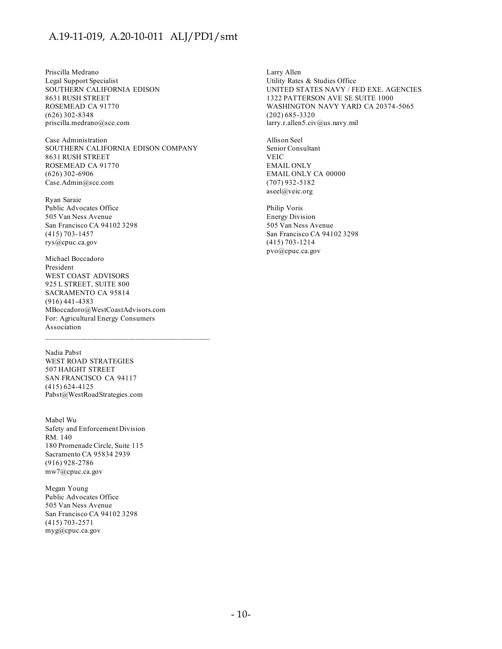Priscilla Medrano Legal Support Specialist SOUTHERN CALIFORNIA EDISON 8631 RUSH STREET ROSEMEAD CA 91770 (626) 302-8348 priscilla.medrano@sce.com

Case Administration SOUTHERN CALIFORNIA EDISON COMPANY 8631 RUSH STREET ROSEMEAD CA 91770 (626) 302-6906 Case.Admin@sce.com

Ryan Saraie Public Advocates Office 505 Van Ness Avenue San Francisco CA 94102 3298 (415) 703-1457 rys@cpuc.ca.gov

Michael Boccadoro President WEST COAST ADVISORS 925 L STREET, SUITE 800 SACRAMENTO CA 95814 (916) 441-4383 MBoccadoro@WestCoastAdvisors.com For: Agricultural Energy Consumers Association

Nadia Pabst WEST ROAD STRATEGIES 507 HAIGHT STREET SAN FRANCISCO CA 94117 (415) 624-4125 Pabst@WestRoadStrategies.com

Mabel Wu Safety and Enforcement Division RM. 140 180 Promenade Circle, Suite 115 Sacramento CA 95834 2939 (916) 928-2786 mw7@cpuc.ca.gov

Megan Young Public Advocates Office 505 Van Ness Avenue San Francisco CA 94102 3298 (415) 703-2571 myg@cpuc.ca.gov

Larry Allen Utility Rates & Studies Office UNITED STATES NAVY / FED EXE. AGENCIES 1322 PATTERSON AVE SE SUITE 1000 WASHINGTON NAVY YARD CA 20374-5065 (202) 685-3320 larry.r.allen5.civ@us.navy.mil

Allison Seel Senior Consultant VEIC EMAIL ONLY EMAIL ONLY CA 00000 (707) 932-5182 aseel@veic.org

Philip Voris Energy Division 505 Van Ness Avenue San Francisco CA 94102 3298 (415) 703-1214 pvo@cpuc.ca.gov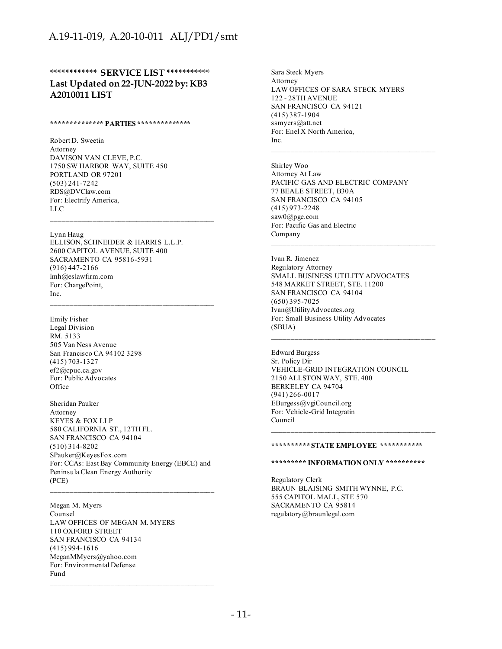#### **\*\*\*\*\*\*\*\*\*\*\*\* SERVICE LIST \*\*\*\*\*\*\*\*\*\*\* Last Updated on 22-JUN-2022 by: KB3 A2010011 LIST**

#### **\*\*\*\*\*\*\*\*\*\*\*\*\*\* PARTIES \*\*\*\*\*\*\*\*\*\*\*\*\*\***

Robert D. Sweetin Attorney DAVISON VAN CLEVE, P.C. 1750 SW HARBOR WAY, SUITE 450 PORTLAND OR 97201 (503) 241-7242 RDS@DVClaw.com For: Electrify America, LLC

#### Lynn Haug

ELLISON, SCHNEIDER & HARRIS L.L.P. 2600 CAPITOL AVENUE, SUITE 400 SACRAMENTO CA 95816-5931 (916) 447-2166 lmh@eslawfirm.com For: ChargePoint, Inc.

 $\mathcal{L}_\text{max}$  and the contract of the contract of the contract of the contract of the contract of the contract of the contract of the contract of the contract of the contract of the contract of the contract of the contrac

Emily Fisher Legal Division RM. 5133 505 Van Ness Avenue San Francisco CA 94102 3298 (415) 703-1327 ef2@cpuc.ca.gov For: Public Advocates **Office** 

Sheridan Pauker Attorney KEYES & FOX LLP 580 CALIFORNIA ST., 12TH FL. SAN FRANCISCO CA 94104 (510) 314-8202 SPauker@KeyesFox.com For: CCAs: East Bay Community Energy (EBCE) and Peninsula Clean Energy Authority (PCE)

Megan M. Myers Counsel LAW OFFICES OF MEGAN M. MYERS 110 OXFORD STREET SAN FRANCISCO CA 94134 (415) 994-1616 MeganMMyers@yahoo.com For: Environmental Defense Fund

 $\mathcal{L}_\text{max}$  and the contract of the contract of the contract of the contract of the contract of the contract of the contract of the contract of the contract of the contract of the contract of the contract of the contrac

Sara Steck Myers Attorney LAW OFFICES OF SARA STECK MYERS 122 - 28TH AVENUE SAN FRANCISCO CA 94121 (415) 387-1904 ssmyers@att.net For: Enel X North America, Inc.

Shirley Woo Attorney At Law PACIFIC GAS AND ELECTRIC COMPANY 77 BEALE STREET, B30A SAN FRANCISCO CA 94105 (415) 973-2248 saw0@pge.com For: Pacific Gas and Electric Company

 $\mathcal{L}_\text{max}$  and the contract of the contract of the contract of the contract of the contract of the contract of the contract of the contract of the contract of the contract of the contract of the contract of the contrac

Ivan R. Jimenez Regulatory Attorney SMALL BUSINESS UTILITY ADVOCATES 548 MARKET STREET, STE. 11200 SAN FRANCISCO CA 94104 (650) 395-7025 Ivan@UtilityAdvocates.org For: Small Business Utility Advocates (SBUA)

Edward Burgess Sr. Policy Dir VEHICLE-GRID INTEGRATION COUNCIL 2150 ALLSTON WAY, STE. 400 BERKELEY CA 94704 (941) 266-0017 EBurgess@vgiCouncil.org For: Vehicle-Grid Integratin Council

#### **\*\*\*\*\*\*\*\*\*\* STATE EMPLOYEE \*\*\*\*\*\*\*\*\*\*\***

 $\mathcal{L}_\text{max}$  and the contract of the contract of the contract of the contract of the contract of the contract of the contract of the contract of the contract of the contract of the contract of the contract of the contrac

#### **\*\*\*\*\*\*\*\*\* INFORMATION ONLY \*\*\*\*\*\*\*\*\*\***

Regulatory Clerk BRAUN BLAISING SMITH WYNNE, P.C. 555 CAPITOL MALL, STE 570 SACRAMENTO CA 95814 regulatory@braunlegal.com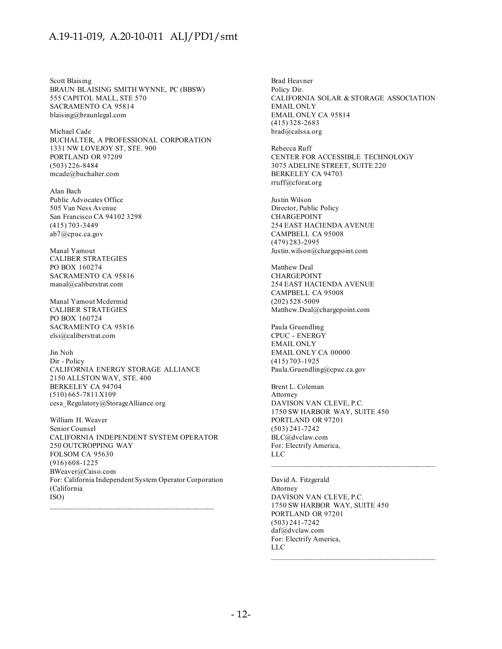Scott Blaising BRAUN BLAISING SMITH WYNNE, PC (BBSW) 555 CAPITOL MALL, STE 570 SACRAMENTO CA 95814 blaising@braunlegal.com

Michael Cade BUCHALTER, A PROFESSIONAL CORPORATION 1331 NW LOVEJOY ST, STE. 900 PORTLAND OR 97209 (503) 226-8484 mcade@buchalter.com

Alan Bach Public Advocates Office 505 Van Ness Avenue San Francisco CA 94102 3298 (415) 703-3449 ab7@cpuc.ca.gov

Manal Yamout CALIBER STRATEGIES PO BOX 160274 SACRAMENTO CA 95816 manal@caliberstrat.com

Manal Yamout Mcdermid CALIBER STRATEGIES PO BOX 160724 SACRAMENTO CA 95816 elsi@caliberstrat.com

Jin Noh Dir - Policy CALIFORNIA ENERGY STORAGE ALLIANCE 2150 ALLSTON WAY, STE. 400 BERKELEY CA 94704 (510) 665-7811 X109 cesa\_Regulatory@StorageAlliance.org

William H. Weaver Senior Counsel CALIFORNIA INDEPENDENT SYSTEM OPERATOR 250 OUTCROPPING WAY FOLSOM CA 95630 (916) 608-1225 BWeaver@Caiso.com For: California Independent System Operator Corporation (California ISO)

 $\mathcal{L}_\text{max}$  and the contract of the contract of the contract of the contract of the contract of the contract of the contract of the contract of the contract of the contract of the contract of the contract of the contrac

Brad Heavner Policy Dir. CALIFORNIA SOLAR & STORAGE ASSOCIATION EMAIL ONLY EMAIL ONLY CA 95814 (415) 328-2683 brad@calssa.org

Rebecca Ruff CENTER FOR ACCESSIBLE TECHNOLOGY 3075 ADELINE STREET, SUITE 220 BERKELEY CA 94703 rruff@cforat.org

Justin Wilson Director, Public Policy CHARGEPOINT 254 EAST HACIENDA AVENUE CAMPBELL CA 95008 (479) 283-2995 Justin.wilson@chargepoint.com

Matthew Deal CHARGEPOINT 254 EAST HACIENDA AVENUE CAMPBELL CA 95008 (202) 528-5009 Matthew.Deal@chargepoint.com

Paula Gruendling CPUC - ENERGY EMAIL ONLY EMAIL ONLY CA 00000 (415) 703-1925 Paula.Gruendling@cpuc.ca.gov

Brent L. Coleman Attorney DAVISON VAN CLEVE, P.C. 1750 SW HARBOR WAY, SUITE 450 PORTLAND OR 97201 (503) 241-7242 BLC@dvclaw.com For: Electrify America, LLC

David A. Fitzgerald Attorney DAVISON VAN CLEVE, P.C. 1750 SW HARBOR WAY, SUITE 450 PORTLAND OR 97201 (503) 241-7242 daf@dvclaw.com For: Electrify America, LLC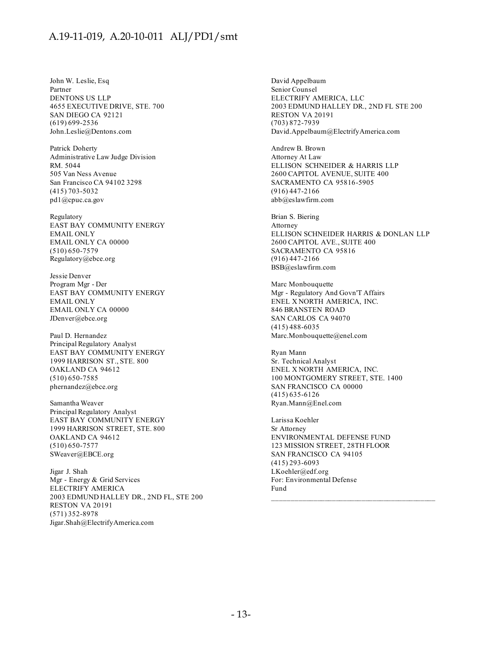John W. Leslie, Esq Partner DENTONS US LLP 4655 EXECUTIVE DRIVE, STE. 700 SAN DIEGO CA 92121 (619) 699-2536 John.Leslie@Dentons.com

Patrick Doherty Administrative Law Judge Division RM. 5044 505 Van Ness Avenue San Francisco CA 94102 3298 (415) 703-5032 pd1@cpuc.ca.gov

Regulatory EAST BAY COMMUNITY ENERGY EMAIL ONLY EMAIL ONLY CA 00000 (510) 650-7579 Regulatory@ebce.org

Jessie Denver Program Mgr - Der EAST BAY COMMUNITY ENERGY EMAIL ONLY EMAIL ONLY CA 00000 JDenver@ebce.org

Paul D. Hernandez Principal Regulatory Analyst EAST BAY COMMUNITY ENERGY 1999 HARRISON ST., STE. 800 OAKLAND CA 94612 (510) 650-7585 phernandez@ebce.org

Samantha Weaver Principal Regulatory Analyst EAST BAY COMMUNITY ENERGY 1999 HARRISON STREET, STE. 800 OAKLAND CA 94612 (510) 650-7577 SWeaver@EBCE.org

Jigar J. Shah Mgr - Energy & Grid Services ELECTRIFY AMERICA 2003 EDMUND HALLEY DR., 2ND FL, STE 200 RESTON VA 20191 (571) 352-8978 Jigar.Shah@ElectrifyAmerica.com

David Appelbaum Senior Counsel ELECTRIFY AMERICA, LLC 2003 EDMUND HALLEY DR., 2ND FL STE 200 RESTON VA 20191 (703) 872-7939 David.Appelbaum@ElectrifyAmerica.com

Andrew B. Brown Attorney At Law ELLISON SCHNEIDER & HARRIS LLP 2600 CAPITOL AVENUE, SUITE 400 SACRAMENTO CA 95816-5905 (916) 447-2166 abb@eslawfirm.com

Brian S. Biering Attorney ELLISON SCHNEIDER HARRIS & DONLAN LLP 2600 CAPITOL AVE., SUITE 400 SACRAMENTO CA 95816 (916) 447-2166 BSB@eslawfirm.com

Marc Monbouquette Mgr - Regulatory And Govn'T Affairs ENEL X NORTH AMERICA, INC. 846 BRANSTEN ROAD SAN CARLOS CA 94070 (415) 488-6035 Marc.Monbouquette@enel.com

Ryan Mann Sr. Technical Analyst ENEL X NORTH AMERICA, INC. 100 MONTGOMERY STREET, STE. 1400 SAN FRANCISCO CA 00000 (415) 635-6126 Ryan.Mann@Enel.com

Larissa Koehler Sr Attorney ENVIRONMENTAL DEFENSE FUND 123 MISSION STREET, 28TH FLOOR SAN FRANCISCO CA 94105 (415) 293-6093 LKoehler@edf.org For: Environmental Defense Fund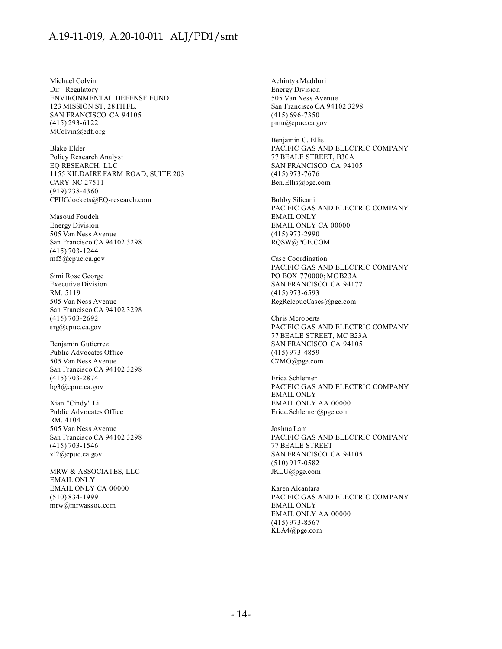Michael Colvin Dir - Regulatory ENVIRONMENTAL DEFENSE FUND 123 MISSION ST, 28TH FL. SAN FRANCISCO CA 94105 (415) 293-6122 MColvin@edf.org

Blake Elder Policy Research Analyst EQ RESEARCH, LLC 1155 KILDAIRE FARM ROAD, SUITE 203 CARY NC 27511 (919) 238-4360 CPUCdockets@EQ-research.com

Masoud Foudeh Energy Division 505 Van Ness Avenue San Francisco CA 94102 3298 (415) 703-1244 mf5@cpuc.ca.gov

Simi Rose George Executive Division RM. 5119 505 Van Ness Avenue San Francisco CA 94102 3298 (415) 703-2692 srg@cpuc.ca.gov

Benjamin Gutierrez Public Advocates Office 505 Van Ness Avenue San Francisco CA 94102 3298 (415) 703-2874 bg3@cpuc.ca.gov

Xian "Cindy" Li Public Advocates Office RM. 4104 505 Van Ness Avenue San Francisco CA 94102 3298 (415) 703-1546 xl2@cpuc.ca.gov

MRW & ASSOCIATES, LLC EMAIL ONLY EMAIL ONLY CA 00000 (510) 834-1999 mrw@mrwassoc.com

Achintya Madduri Energy Division 505 Van Ness Avenue San Francisco CA 94102 3298 (415) 696-7350 pmu@cpuc.ca.gov

Benjamin C. Ellis PACIFIC GAS AND ELECTRIC COMPANY 77 BEALE STREET, B30A SAN FRANCISCO CA 94105 (415) 973-7676 Ben.Ellis@pge.com

Bobby Silicani PACIFIC GAS AND ELECTRIC COMPANY EMAIL ONLY EMAIL ONLY CA 00000 (415) 973-2990 RQSW@PGE.COM

Case Coordination PACIFIC GAS AND ELECTRIC COMPANY PO BOX 770000; MC B23A SAN FRANCISCO CA 94177 (415) 973-6593 RegRelcpucCases@pge.com

Chris Mcroberts PACIFIC GAS AND ELECTRIC COMPANY 77 BEALE STREET, MC B23A SAN FRANCISCO CA 94105 (415) 973-4859 C7MO@pge.com

Erica Schlemer PACIFIC GAS AND ELECTRIC COMPANY EMAIL ONLY EMAIL ONLY AA 00000 Erica.Schlemer@pge.com

Joshua Lam PACIFIC GAS AND ELECTRIC COMPANY 77 BEALE STREET SAN FRANCISCO CA 94105 (510) 917-0582 JKLU@pge.com

Karen Alcantara PACIFIC GAS AND ELECTRIC COMPANY EMAIL ONLY EMAIL ONLY AA 00000 (415) 973-8567 KEA4@pge.com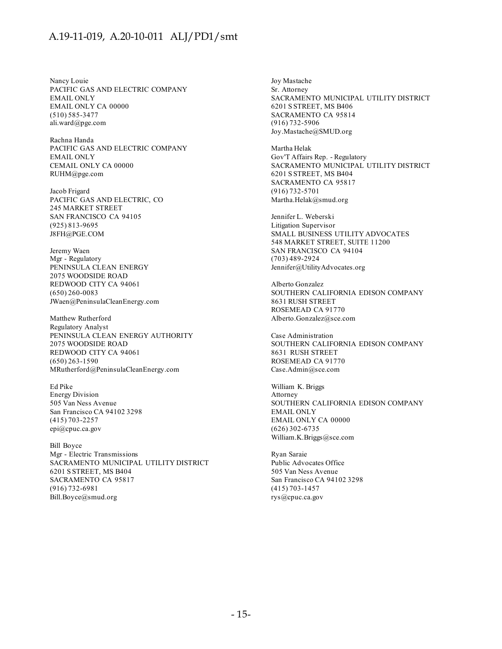Nancy Louie PACIFIC GAS AND ELECTRIC COMPANY EMAIL ONLY EMAIL ONLY CA 00000 (510) 585-3477 ali.ward@pge.com

Rachna Handa PACIFIC GAS AND ELECTRIC COMPANY EMAIL ONLY CEMAIL ONLY CA 00000 RUHM@pge.com

Jacob Frigard PACIFIC GAS AND ELECTRIC, CO 245 MARKET STREET SAN FRANCISCO CA 94105 (925) 813-9695 J8FH@PGE.COM

Jeremy Waen Mgr - Regulatory PENINSULA CLEAN ENERGY 2075 WOODSIDE ROAD REDWOOD CITY CA 94061 (650) 260-0083 JWaen@PeninsulaCleanEnergy.com

Matthew Rutherford Regulatory Analyst PENINSULA CLEAN ENERGY AUTHORITY 2075 WOODSIDE ROAD REDWOOD CITY CA 94061 (650) 263-1590 MRutherford@PeninsulaCleanEnergy.com

Ed Pike Energy Division 505 Van Ness Avenue San Francisco CA 94102 3298 (415) 703-2257 epi@cpuc.ca.gov

Bill Boyce Mgr - Electric Transmissions SACRAMENTO MUNICIPAL UTILITY DISTRICT 6201 S STREET, MS B404 SACRAMENTO CA 95817 (916) 732-6981 Bill.Boyce@smud.org

Joy Mastache Sr. Attorney SACRAMENTO MUNICIPAL UTILITY DISTRICT 6201 S STREET, MS B406 SACRAMENTO CA 95814 (916) 732-5906 Joy.Mastache@SMUD.org

Martha Helak Gov'T Affairs Rep. - Regulatory SACRAMENTO MUNICIPAL UTILITY DISTRICT 6201 S STREET, MS B404 SACRAMENTO CA 95817 (916) 732-5701 Martha.Helak@smud.org

Jennifer L. Weberski Litigation Supervisor SMALL BUSINESS UTILITY ADVOCATES 548 MARKET STREET, SUITE 11200 SAN FRANCISCO CA 94104 (703) 489-2924 Jennifer@UtilityAdvocates.org

Alberto Gonzalez SOUTHERN CALIFORNIA EDISON COMPANY 8631 RUSH STREET ROSEMEAD CA 91770 Alberto.Gonzalez@sce.com

Case Administration SOUTHERN CALIFORNIA EDISON COMPANY 8631 RUSH STREET ROSEMEAD CA 91770 Case.Admin@sce.com

William K. Briggs Attorney SOUTHERN CALIFORNIA EDISON COMPANY EMAIL ONLY EMAIL ONLY CA 00000 (626) 302-6735 William.K.Briggs@sce.com

Ryan Saraie Public Advocates Office 505 Van Ness Avenue San Francisco CA 94102 3298 (415) 703-1457 rys@cpuc.ca.gov